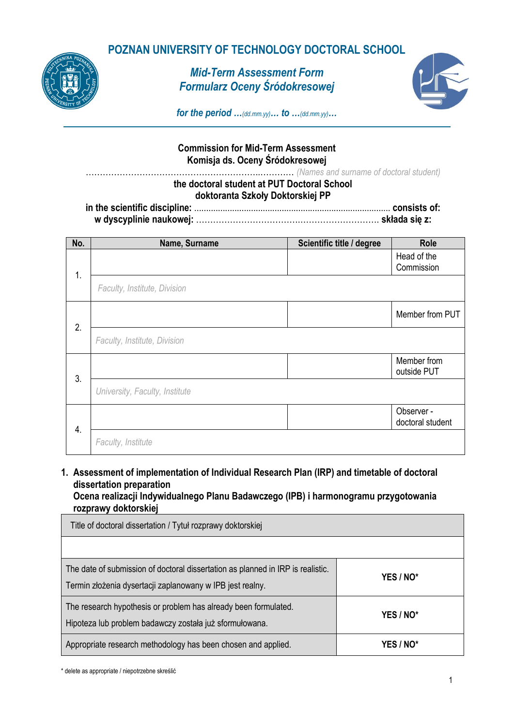### **POZNAN UNIVERSITY OF TECHNOLOGY DOCTORAL SCHOOL**



### *Mid-Term Assessment Form Formularz Oceny Śródokresowej*



*for the period …(dd.mm.yy)… to …(dd.mm.yy)…*

#### **Commission for Mid-Term Assessment Komisja ds. Oceny Śródokresowej**

……………………………………………………..………… *(Names and surname of doctoral student)*

#### **the doctoral student at PUT Doctoral School doktoranta Szkoły Doktorskiej PP**

**in the scientific discipline:** ................................................................................... **consists of: w dyscyplinie naukowej:** ……………………………….………………………. **składa się z:**

| No. | Name, Surname                  | Scientific title / degree | <b>Role</b>                    |
|-----|--------------------------------|---------------------------|--------------------------------|
| 1.  |                                |                           | Head of the<br>Commission      |
|     | Faculty, Institute, Division   |                           |                                |
| 2.  |                                |                           | Member from PUT                |
|     | Faculty, Institute, Division   |                           |                                |
| 3.  |                                |                           | Member from<br>outside PUT     |
|     | University, Faculty, Institute |                           |                                |
| 4.  |                                |                           | Observer -<br>doctoral student |
|     | Faculty, Institute             |                           |                                |

**1. Assessment of implementation of Individual Research Plan (IRP) and timetable of doctoral dissertation preparation Ocena realizacji Indywidualnego Planu Badawczego (IPB) i harmonogramu przygotowania** 

# **rozprawy doktorskiej** Title of doctoral dissertation / Tytuł rozprawy doktorskiej The date of submission of doctoral dissertation as planned in IRP is realistic. Termin złożenia dysertacji zaplanowany w IPB jest realny. **YES / NO\*** The research hypothesis or problem has already been formulated. Hipoteza lub problem badawczy została już sformułowana. **YES / NO\*** Appropriate research methodology has been chosen and applied. **YES / NO\***

\* delete as appropriate / niepotrzebne skreślić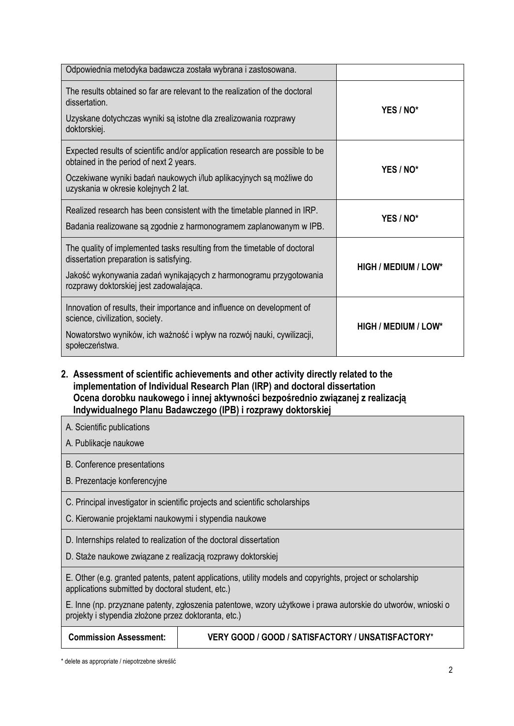| Odpowiednia metodyka badawcza została wybrana i zastosowana.                                                                                                                                                                            |                             |
|-----------------------------------------------------------------------------------------------------------------------------------------------------------------------------------------------------------------------------------------|-----------------------------|
| The results obtained so far are relevant to the realization of the doctoral<br>dissertation.<br>Uzyskane dotychczas wyniki są istotne dla zrealizowania rozprawy<br>doktorskiej.                                                        | YES / NO*                   |
| Expected results of scientific and/or application research are possible to be<br>obtained in the period of next 2 years.<br>Oczekiwane wyniki badań naukowych i/lub aplikacyjnych są możliwe do<br>uzyskania w okresie kolejnych 2 lat. | YES / NO*                   |
| Realized research has been consistent with the timetable planned in IRP.<br>Badania realizowane są zgodnie z harmonogramem zaplanowanym w IPB.                                                                                          | YES / NO*                   |
| The quality of implemented tasks resulting from the timetable of doctoral<br>dissertation preparation is satisfying.<br>Jakość wykonywania zadań wynikających z harmonogramu przygotowania<br>rozprawy doktorskiej jest zadowalająca.   | <b>HIGH / MEDIUM / LOW*</b> |
| Innovation of results, their importance and influence on development of<br>science, civilization, society.<br>Nowatorstwo wyników, ich ważność i wpływ na rozwój nauki, cywilizacji,<br>społeczeństwa.                                  | <b>HIGH / MEDIUM / LOW*</b> |

**2. Assessment of scientific achievements and other activity directly related to the implementation of Individual Research Plan (IRP) and doctoral dissertation Ocena dorobku naukowego i innej aktywności bezpośrednio związanej z realizacją Indywidualnego Planu Badawczego (IPB) i rozprawy doktorskiej**

A. Scientific publications

A. Publikacje naukowe

B. Conference presentations

B. Prezentacje konferencyjne

C. Principal investigator in scientific projects and scientific scholarships

C. Kierowanie projektami naukowymi i stypendia naukowe

D. Internships related to realization of the doctoral dissertation

D. Staże naukowe związane z realizacją rozprawy doktorskiej

E. Other (e.g. granted patents, patent applications, utility models and copyrights, project or scholarship applications submitted by doctoral student, etc.)

E. Inne (np. przyznane patenty, zgłoszenia patentowe, wzory użytkowe i prawa autorskie do utworów, wnioski o projekty i stypendia złożone przez doktoranta, etc.)

| <b>Commission Assessment:</b> | VERY GOOD / GOOD / SATISFACTORY / UNSATISFACTORY* |
|-------------------------------|---------------------------------------------------|
|                               |                                                   |

\* delete as appropriate / niepotrzebne skreślić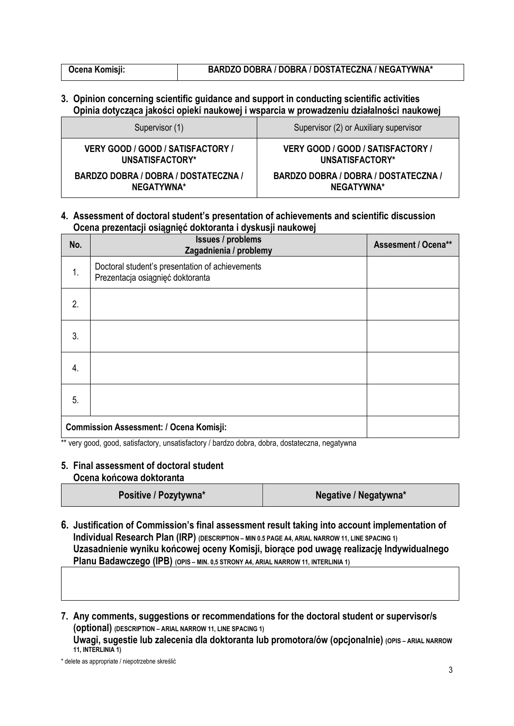#### **3. Opinion concerning scientific guidance and support in conducting scientific activities Opinia dotycząca jakości opieki naukowej i wsparcia w prowadzeniu działalności naukowej**

| Supervisor (1)                              | Supervisor (2) or Auxiliary supervisor |
|---------------------------------------------|----------------------------------------|
| VERY GOOD / GOOD / SATISFACTORY /           | VERY GOOD / GOOD / SATISFACTORY /      |
| UNSATISFACTORY*                             | UNSATISFACTORY*                        |
| <b>BARDZO DOBRA / DOBRA / DOSTATECZNA /</b> | BARDZO DOBRA / DOBRA / DOSTATECZNA /   |
| NEGATYWNA*                                  | NEGATYWNA*                             |

#### **4. Assessment of doctoral student's presentation of achievements and scientific discussion Ocena prezentacji osiągnięć doktoranta i dyskusji naukowej**

| No. | <b>Issues / problems</b><br>Zagadnienia / problemy                                  | <b>Assesment / Ocena**</b> |  |
|-----|-------------------------------------------------------------------------------------|----------------------------|--|
| 1.  | Doctoral student's presentation of achievements<br>Prezentacja osiągnięć doktoranta |                            |  |
| 2.  |                                                                                     |                            |  |
| 3.  |                                                                                     |                            |  |
| 4.  |                                                                                     |                            |  |
| 5.  |                                                                                     |                            |  |
|     | <b>Commission Assessment: / Ocena Komisji:</b>                                      |                            |  |

\*\* very good, good, satisfactory, unsatisfactory / bardzo dobra, dobra, dostateczna, negatywna

#### **5. Final assessment of doctoral student Ocena końcowa doktoranta**

| Positive / Pozytywna* | Negative / Negatywna* |
|-----------------------|-----------------------|
|-----------------------|-----------------------|

**6. Justification of Commission's final assessment result taking into account implementation of Individual Research Plan (IRP)** (DESCRIPTION – MIN 0.5 PAGE A4, ARIAL NARROW 11, LINE SPACING 1) **Uzasadnienie wyniku końcowej oceny Komisji, biorące pod uwagę realizację Indywidualnego Planu Badawczego (IPB) (OPIS – MIN. 0,5 STRONY A4, ARIAL NARROW 11, INTERLINIA 1)**

**7. Any comments, suggestions or recommendations for the doctoral student or supervisor/s (optional) (DESCRIPTION – ARIAL NARROW 11, LINE SPACING 1) Uwagi, sugestie lub zalecenia dla doktoranta lub promotora/ów (opcjonalnie) (OPIS – ARIAL NARROW 11, INTERLINIA 1)**

\* delete as appropriate / niepotrzebne skreślić